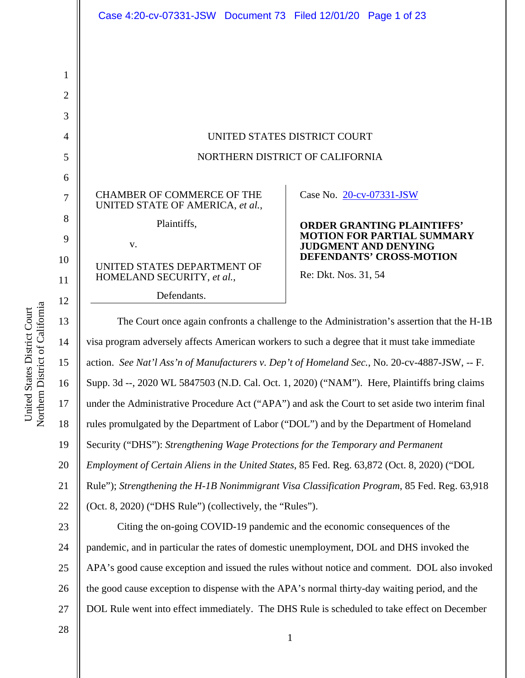|                | Case 4:20-cv-07331-JSW Document 73 Filed 12/01/20 Page 1 of 23                                  |                                                                  |  |
|----------------|-------------------------------------------------------------------------------------------------|------------------------------------------------------------------|--|
|                |                                                                                                 |                                                                  |  |
| 1              |                                                                                                 |                                                                  |  |
| $\overline{2}$ |                                                                                                 |                                                                  |  |
| 3              |                                                                                                 |                                                                  |  |
| $\overline{4}$ | UNITED STATES DISTRICT COURT                                                                    |                                                                  |  |
| 5              | NORTHERN DISTRICT OF CALIFORNIA                                                                 |                                                                  |  |
| 6              |                                                                                                 |                                                                  |  |
| 7              | <b>CHAMBER OF COMMERCE OF THE</b><br>UNITED STATE OF AMERICA, et al.,                           | Case No. 20-cv-07331-JSW                                         |  |
| 8              | Plaintiffs,                                                                                     | <b>ORDER GRANTING PLAINTIFFS'</b>                                |  |
| 9              | V.                                                                                              | <b>MOTION FOR PARTIAL SUMMARY</b><br><b>JUDGMENT AND DENYING</b> |  |
| 10             | UNITED STATES DEPARTMENT OF                                                                     | <b>DEFENDANTS' CROSS-MOTION</b><br>Re: Dkt. Nos. 31, 54          |  |
| 11             | HOMELAND SECURITY, et al.,<br>Defendants.                                                       |                                                                  |  |
| 12             |                                                                                                 |                                                                  |  |
| 13             | The Court once again confronts a challenge to the Administration's assertion that the H-1B      |                                                                  |  |
| 14             | visa program adversely affects American workers to such a degree that it must take immediate    |                                                                  |  |
| 15             | action. See Nat'l Ass'n of Manufacturers v. Dep't of Homeland Sec., No. 20-cv-4887-JSW, -- F.   |                                                                  |  |
| 16             | Supp. 3d --, 2020 WL 5847503 (N.D. Cal. Oct. 1, 2020) ("NAM"). Here, Plaintiffs bring claims    |                                                                  |  |
| 17             | under the Administrative Procedure Act ("APA") and ask the Court to set aside two interim final |                                                                  |  |
| 18             | rules promulgated by the Department of Labor ("DOL") and by the Department of Homeland          |                                                                  |  |
| 19             | Security ("DHS"): Strengthening Wage Protections for the Temporary and Permanent                |                                                                  |  |
| 20             | Employment of Certain Aliens in the United States, 85 Fed. Reg. 63,872 (Oct. 8, 2020) ("DOL     |                                                                  |  |
| 21             | Rule"); Strengthening the H-1B Nonimmigrant Visa Classification Program, 85 Fed. Reg. 63,918    |                                                                  |  |
| 22             | (Oct. 8, 2020) ("DHS Rule") (collectively, the "Rules").                                        |                                                                  |  |
| 23             | Citing the on-going COVID-19 pandemic and the economic consequences of the                      |                                                                  |  |
| 24             | pandemic, and in particular the rates of domestic unemployment, DOL and DHS invoked the         |                                                                  |  |
| 25             | APA's good cause exception and issued the rules without notice and comment. DOL also invoked    |                                                                  |  |
| 26             | the good cause exception to dispense with the APA's normal thirty-day waiting period, and the   |                                                                  |  |
| 27             | DOL Rule went into effect immediately. The DHS Rule is scheduled to take effect on December     |                                                                  |  |
| 28             |                                                                                                 | $\mathbf{1}$                                                     |  |

United States District Court Northern District of Californi a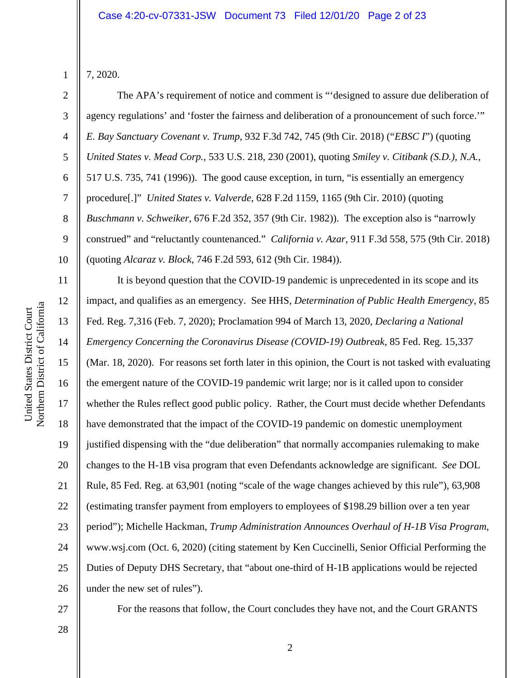7, 2020.

1

2

3

4

5

7

8

9

11

12

13

14

15

16

17

18

19

20

21

22

23

24

25

26

6 10 The APA's requirement of notice and comment is "'designed to assure due deliberation of agency regulations' and 'foster the fairness and deliberation of a pronouncement of such force.'" *E. Bay Sanctuary Covenant v. Trump*, 932 F.3d 742, 745 (9th Cir. 2018) ("*EBSC I*") (quoting *United States v. Mead Corp.*, 533 U.S. 218, 230 (2001), quoting *Smiley v. Citibank (S.D.), N.A.*, 517 U.S. 735, 741 (1996)). The good cause exception, in turn, "is essentially an emergency procedure[.]" *United States v. Valverde*, 628 F.2d 1159, 1165 (9th Cir. 2010) (quoting *Buschmann v. Schweiker*, 676 F.2d 352, 357 (9th Cir. 1982)). The exception also is "narrowly construed" and "reluctantly countenanced." *California v. Azar*, 911 F.3d 558, 575 (9th Cir. 2018) (quoting *Alcaraz v. Block*, 746 F.2d 593, 612 (9th Cir. 1984)).

It is beyond question that the COVID-19 pandemic is unprecedented in its scope and its impact, and qualifies as an emergency. See HHS, *Determination of Public Health Emergency*, 85 Fed. Reg. 7,316 (Feb. 7, 2020); Proclamation 994 of March 13, 2020, *Declaring a National Emergency Concerning the Coronavirus Disease (COVID-19) Outbreak*, 85 Fed. Reg. 15,337 (Mar. 18, 2020). For reasons set forth later in this opinion, the Court is not tasked with evaluating the emergent nature of the COVID-19 pandemic writ large; nor is it called upon to consider whether the Rules reflect good public policy. Rather, the Court must decide whether Defendants have demonstrated that the impact of the COVID-19 pandemic on domestic unemployment justified dispensing with the "due deliberation" that normally accompanies rulemaking to make changes to the H-1B visa program that even Defendants acknowledge are significant. *See* DOL Rule, 85 Fed. Reg. at 63,901 (noting "scale of the wage changes achieved by this rule"), 63,908 (estimating transfer payment from employers to employees of \$198.29 billion over a ten year period"); Michelle Hackman, *Trump Administration Announces Overhaul of H-1B Visa Program*, www.wsj.com (Oct. 6, 2020) (citing statement by Ken Cuccinelli, Senior Official Performing the Duties of Deputy DHS Secretary, that "about one-third of H-1B applications would be rejected under the new set of rules").

27

For the reasons that follow, the Court concludes they have not, and the Court GRANTS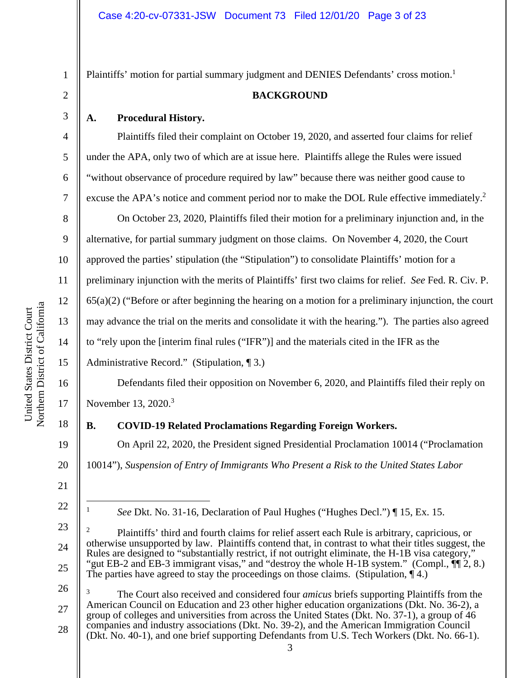2 3 4

5

6

7

8

9

10

11

12

13

14

15

16

17

18

19

20

21

22

1

Plaintiffs' motion for partial summary judgment and DENIES Defendants' cross motion.<sup>1</sup>

### **BACKGROUND**

### **A. Procedural History.**

Plaintiffs filed their complaint on October 19, 2020, and asserted four claims for relief under the APA, only two of which are at issue here. Plaintiffs allege the Rules were issued "without observance of procedure required by law" because there was neither good cause to excuse the APA's notice and comment period nor to make the DOL Rule effective immediately.<sup>2</sup>

On October 23, 2020, Plaintiffs filed their motion for a preliminary injunction and, in the alternative, for partial summary judgment on those claims. On November 4, 2020, the Court approved the parties' stipulation (the "Stipulation") to consolidate Plaintiffs' motion for a preliminary injunction with the merits of Plaintiffs' first two claims for relief. *See* Fed. R. Civ. P. 65(a)(2) ("Before or after beginning the hearing on a motion for a preliminary injunction, the court may advance the trial on the merits and consolidate it with the hearing."). The parties also agreed to "rely upon the [interim final rules ("IFR")] and the materials cited in the IFR as the

Administrative Record." (Stipulation, ¶ 3.)

Defendants filed their opposition on November 6, 2020, and Plaintiffs filed their reply on November 13, 2020.<sup>3</sup>

**B. COVID-19 Related Proclamations Regarding Foreign Workers.** 

On April 22, 2020, the President signed Presidential Proclamation 10014 ("Proclamation 10014"), *Suspension of Entry of Immigrants Who Present a Risk to the United States Labor* 

<sup>1</sup> *See* Dkt. No. 31-16, Declaration of Paul Hughes ("Hughes Decl.") ¶ 15, Ex. 15.

<sup>23</sup>  24 25 2 Plaintiffs' third and fourth claims for relief assert each Rule is arbitrary, capricious, or otherwise unsupported by law. Plaintiffs contend that, in contrast to what their titles suggest, the Rules are designed to "substantially restrict, if not outright eliminate, the H-1B visa category," "gut EB-2 and EB-3 immigrant visas," and "destroy the whole H-1B system." (Compl., ¶¶ 2, 8.) The parties have agreed to stay the proceedings on those claims. (Stipulation,  $\P$ 4.)

<sup>27</sup>  28 3 The Court also received and considered four *amicus* briefs supporting Plaintiffs from the American Council on Education and 23 other higher education organizations (Dkt. No. 36-2), a group of colleges and universities from across the United States (Dkt. No. 37-1), a group of 46 companies and industry associations (Dkt. No. 39-2), and the American Immigration Council (Dkt. No. 40-1), and one brief supporting Defendants from U.S. Tech Workers (Dkt. No. 66-1).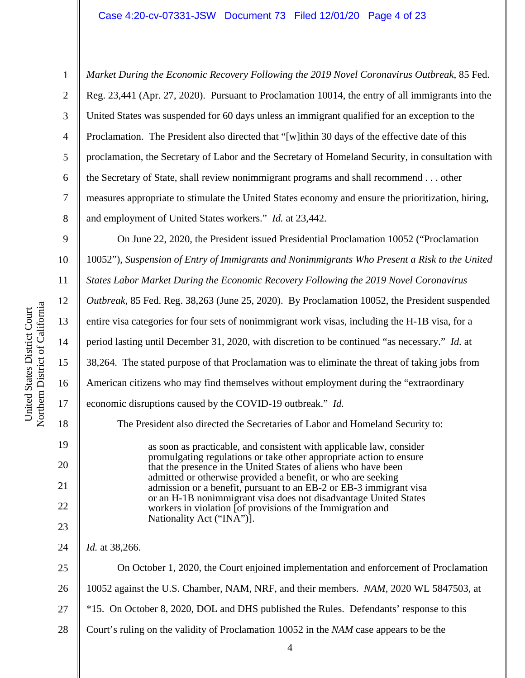6 *Market During the Economic Recovery Following the 2019 Novel Coronavirus Outbreak*, 85 Fed. Reg. 23,441 (Apr. 27, 2020). Pursuant to Proclamation 10014, the entry of all immigrants into the United States was suspended for 60 days unless an immigrant qualified for an exception to the Proclamation. The President also directed that "[w]ithin 30 days of the effective date of this proclamation, the Secretary of Labor and the Secretary of Homeland Security, in consultation with the Secretary of State, shall review nonimmigrant programs and shall recommend . . . other measures appropriate to stimulate the United States economy and ensure the prioritization, hiring, and employment of United States workers." *Id.* at 23,442.

9 10 11 12 13 14 15 16 17 18 20 21 22 23 On June 22, 2020, the President issued Presidential Proclamation 10052 ("Proclamation 10052"), *Suspension of Entry of Immigrants and Nonimmigrants Who Present a Risk to the United States Labor Market During the Economic Recovery Following the 2019 Novel Coronavirus Outbreak*, 85 Fed. Reg. 38,263 (June 25, 2020). By Proclamation 10052, the President suspended entire visa categories for four sets of nonimmigrant work visas, including the H-1B visa, for a period lasting until December 31, 2020, with discretion to be continued "as necessary." *Id.* at 38,264. The stated purpose of that Proclamation was to eliminate the threat of taking jobs from American citizens who may find themselves without employment during the "extraordinary economic disruptions caused by the COVID-19 outbreak." *Id.* The President also directed the Secretaries of Labor and Homeland Security to: as soon as practicable, and consistent with applicable law, consider promulgating regulations or take other appropriate action to ensure that the presence in the United States of aliens who have been admitted or otherwise provided a benefit, or who are seeking admission or a benefit, pursuant to an EB-2 or EB-3 immigrant visa or an H-1B nonimmigrant visa does not disadvantage United States workers in violation [of provisions of the Immigration and Nationality Act ("INA")]. *Id.* at 38,266.

24

25 26 27 28 On October 1, 2020, the Court enjoined implementation and enforcement of Proclamation 10052 against the U.S. Chamber, NAM, NRF, and their members. *NAM*, 2020 WL 5847503, at \*15. On October 8, 2020, DOL and DHS published the Rules. Defendants' response to this Court's ruling on the validity of Proclamation 10052 in the *NAM* case appears to be the

19

1

2

3

4

5

7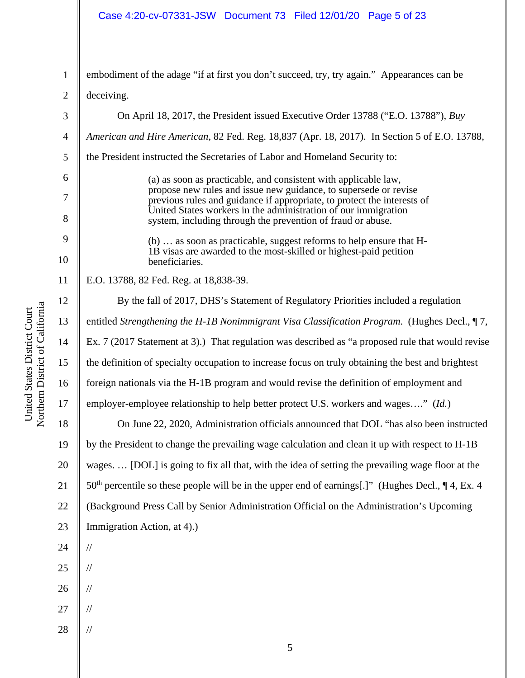# Case 4:20-cv-07331-JSW Document 73 Filed 12/01/20 Page 5 of 23

| $\mathbf 1$    | embodiment of the adage "if at first you don't succeed, try, try again." Appearances can be                                                 |  |  |
|----------------|---------------------------------------------------------------------------------------------------------------------------------------------|--|--|
| $\overline{2}$ | deceiving.                                                                                                                                  |  |  |
| 3              | On April 18, 2017, the President issued Executive Order 13788 ("E.O. 13788"), Buy                                                           |  |  |
| $\overline{4}$ | American and Hire American, 82 Fed. Reg. 18,837 (Apr. 18, 2017). In Section 5 of E.O. 13788,                                                |  |  |
| $\mathfrak{S}$ | the President instructed the Secretaries of Labor and Homeland Security to:                                                                 |  |  |
| 6              | (a) as soon as practicable, and consistent with applicable law,                                                                             |  |  |
| $\overline{7}$ | propose new rules and issue new guidance, to supersede or revise<br>previous rules and guidance if appropriate, to protect the interests of |  |  |
| 8              | United States workers in the administration of our immigration<br>system, including through the prevention of fraud or abuse.               |  |  |
| 9              | (b)  as soon as practicable, suggest reforms to help ensure that H-                                                                         |  |  |
| 10             | 1B visas are awarded to the most-skilled or highest-paid petition<br>beneficiaries.                                                         |  |  |
| 11             | E.O. 13788, 82 Fed. Reg. at 18,838-39.                                                                                                      |  |  |
| 12             | By the fall of 2017, DHS's Statement of Regulatory Priorities included a regulation                                                         |  |  |
| 13             | entitled Strengthening the H-1B Nonimmigrant Visa Classification Program. (Hughes Decl., 17,                                                |  |  |
| 14             | Ex. 7 (2017 Statement at 3).) That regulation was described as "a proposed rule that would revise                                           |  |  |
| 15             | the definition of specialty occupation to increase focus on truly obtaining the best and brightest                                          |  |  |
| 16             | foreign nationals via the H-1B program and would revise the definition of employment and                                                    |  |  |
| 17             | employer-employee relationship to help better protect U.S. workers and wages" (Id.)                                                         |  |  |
| 18             | On June 22, 2020, Administration officials announced that DOL "has also been instructed                                                     |  |  |
| 19             | by the President to change the prevailing wage calculation and clean it up with respect to H-1B                                             |  |  |
| 20             | wages [DOL] is going to fix all that, with the idea of setting the prevailing wage floor at the                                             |  |  |
| 21             | $50th$ percentile so these people will be in the upper end of earnings[.]" (Hughes Decl., $\P$ 4, Ex. 4                                     |  |  |
| 22             | (Background Press Call by Senior Administration Official on the Administration's Upcoming                                                   |  |  |
| 23             | Immigration Action, at 4).)                                                                                                                 |  |  |
| 24             | $/\!/$                                                                                                                                      |  |  |
| 25             | $\frac{1}{2}$                                                                                                                               |  |  |
| 26             | $\sqrt{}$                                                                                                                                   |  |  |
| 27             | $/\!/$                                                                                                                                      |  |  |
| 28             | $\frac{1}{2}$                                                                                                                               |  |  |
|                | 5                                                                                                                                           |  |  |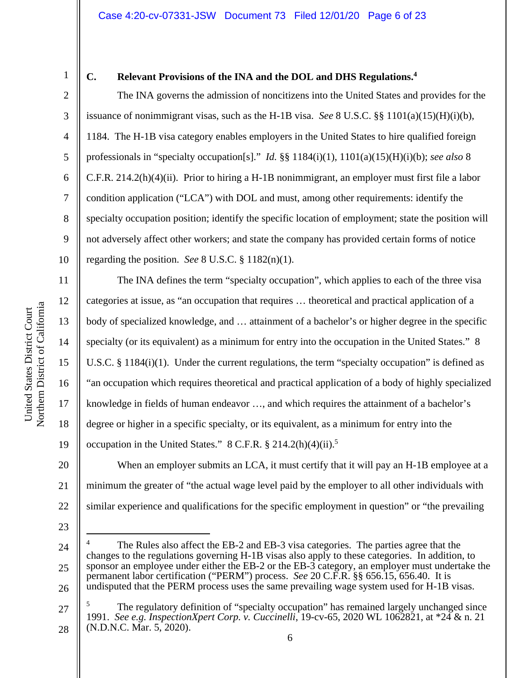1

2

3

4

5

6

7

8

9

10

11

12

13

14

15

16

17

18

19

### **C. Relevant Provisions of the INA and the DOL and DHS Regulations.4**

The INA governs the admission of noncitizens into the United States and provides for the issuance of nonimmigrant visas, such as the H-1B visa. *See* 8 U.S.C. §§ 1101(a)(15)(H)(i)(b), 1184. The H-1B visa category enables employers in the United States to hire qualified foreign professionals in "specialty occupation[s]." *Id.* §§ 1184(i)(1), 1101(a)(15)(H)(i)(b); *see also* 8 C.F.R. 214.2(h)(4)(ii). Prior to hiring a H-1B nonimmigrant, an employer must first file a labor condition application ("LCA") with DOL and must, among other requirements: identify the specialty occupation position; identify the specific location of employment; state the position will not adversely affect other workers; and state the company has provided certain forms of notice regarding the position. *See* 8 U.S.C. § 1182(n)(1).

The INA defines the term "specialty occupation", which applies to each of the three visa categories at issue, as "an occupation that requires … theoretical and practical application of a body of specialized knowledge, and … attainment of a bachelor's or higher degree in the specific specialty (or its equivalent) as a minimum for entry into the occupation in the United States." 8 U.S.C. § 1184(i)(1). Under the current regulations, the term "specialty occupation" is defined as "an occupation which requires theoretical and practical application of a body of highly specialized knowledge in fields of human endeavor …, and which requires the attainment of a bachelor's degree or higher in a specific specialty, or its equivalent, as a minimum for entry into the occupation in the United States."  $8$  C.F.R.  $\S 214.2(h)(4)(ii).$ <sup>5</sup>

20 21 22 When an employer submits an LCA, it must certify that it will pay an H-1B employee at a minimum the greater of "the actual wage level paid by the employer to all other individuals with similar experience and qualifications for the specific employment in question" or "the prevailing

23

24

25

26

27 28 5 The regulatory definition of "specialty occupation" has remained largely unchanged since 1991. *See e.g. InspectionXpert Corp. v. Cuccinelli*, 19-cv-65, 2020 WL 1062821, at \*24 & n. 21 (N.D.N.C. Mar. 5, 2020).

<sup>4</sup> The Rules also affect the EB-2 and EB-3 visa categories. The parties agree that the changes to the regulations governing H-1B visas also apply to these categories. In addition, to sponsor an employee under either the EB-2 or the EB-3 category, an employer must undertake the permanent labor certification ("PERM") process. *See* 20 C.F.R. §§ 656.15, 656.40. It is undisputed that the PERM process uses the same prevailing wage system used for H-1B visas.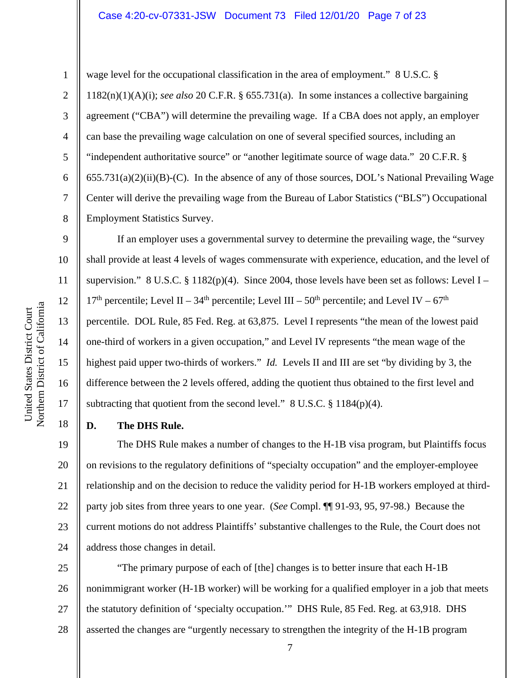#### Case 4:20-cv-07331-JSW Document 73 Filed 12/01/20 Page 7 of 23

6

7

8

1

wage level for the occupational classification in the area of employment." 8 U.S.C. § 1182(n)(1)(A)(i); *see also* 20 C.F.R. § 655.731(a). In some instances a collective bargaining agreement ("CBA") will determine the prevailing wage. If a CBA does not apply, an employer can base the prevailing wage calculation on one of several specified sources, including an "independent authoritative source" or "another legitimate source of wage data." 20 C.F.R. §  $655.731(a)(2)(ii)(B)-(C)$ . In the absence of any of those sources, DOL's National Prevailing Wage Center will derive the prevailing wage from the Bureau of Labor Statistics ("BLS") Occupational Employment Statistics Survey.

9 10 11 12 13 14 15 16 17 If an employer uses a governmental survey to determine the prevailing wage, the "survey shall provide at least 4 levels of wages commensurate with experience, education, and the level of supervision." 8 U.S.C. § 1182(p)(4). Since 2004, those levels have been set as follows: Level I –  $17<sup>th</sup>$  percentile; Level II – 34<sup>th</sup> percentile; Level III – 50<sup>th</sup> percentile; and Level IV – 67<sup>th</sup> percentile. DOL Rule, 85 Fed. Reg. at 63,875. Level I represents "the mean of the lowest paid one-third of workers in a given occupation," and Level IV represents "the mean wage of the highest paid upper two-thirds of workers." *Id.* Levels II and III are set "by dividing by 3, the difference between the 2 levels offered, adding the quotient thus obtained to the first level and subtracting that quotient from the second level."  $8 \text{ U.S.C.} \$  1184(p)(4).

### **D. The DHS Rule.**

19 20 21 22 23 24 The DHS Rule makes a number of changes to the H-1B visa program, but Plaintiffs focus on revisions to the regulatory definitions of "specialty occupation" and the employer-employee relationship and on the decision to reduce the validity period for H-1B workers employed at thirdparty job sites from three years to one year. (*See* Compl. ¶¶ 91-93, 95, 97-98.) Because the current motions do not address Plaintiffs' substantive challenges to the Rule, the Court does not address those changes in detail.

25 26 27 28 "The primary purpose of each of [the] changes is to better insure that each H-1B nonimmigrant worker (H-1B worker) will be working for a qualified employer in a job that meets the statutory definition of 'specialty occupation.'" DHS Rule, 85 Fed. Reg. at 63,918. DHS asserted the changes are "urgently necessary to strengthen the integrity of the H-1B program

18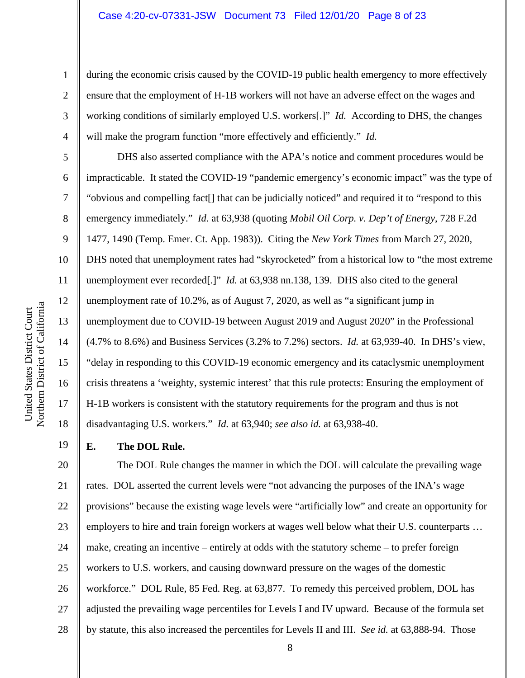during the economic crisis caused by the COVID-19 public health emergency to more effectively ensure that the employment of H-1B workers will not have an adverse effect on the wages and working conditions of similarly employed U.S. workers[.]" *Id.* According to DHS, the changes will make the program function "more effectively and efficiently." *Id.*

DHS also asserted compliance with the APA's notice and comment procedures would be impracticable. It stated the COVID-19 "pandemic emergency's economic impact" was the type of "obvious and compelling fact[] that can be judicially noticed" and required it to "respond to this emergency immediately." *Id.* at 63,938 (quoting *Mobil Oil Corp. v. Dep't of Energy*, 728 F.2d 1477, 1490 (Temp. Emer. Ct. App. 1983)). Citing the *New York Times* from March 27, 2020, DHS noted that unemployment rates had "skyrocketed" from a historical low to "the most extreme unemployment ever recorded[.]" *Id.* at 63,938 nn.138, 139. DHS also cited to the general unemployment rate of 10.2%, as of August 7, 2020, as well as "a significant jump in unemployment due to COVID-19 between August 2019 and August 2020" in the Professional (4.7% to 8.6%) and Business Services (3.2% to 7.2%) sectors. *Id.* at 63,939-40. In DHS's view, "delay in responding to this COVID-19 economic emergency and its cataclysmic unemployment crisis threatens a 'weighty, systemic interest' that this rule protects: Ensuring the employment of H-1B workers is consistent with the statutory requirements for the program and thus is not disadvantaging U.S. workers." *Id.* at 63,940; *see also id.* at 63,938-40.

**E. The DOL Rule.** 

20 21 22 23 24 25 26 27 28 The DOL Rule changes the manner in which the DOL will calculate the prevailing wage rates. DOL asserted the current levels were "not advancing the purposes of the INA's wage provisions" because the existing wage levels were "artificially low" and create an opportunity for employers to hire and train foreign workers at wages well below what their U.S. counterparts … make, creating an incentive – entirely at odds with the statutory scheme – to prefer foreign workers to U.S. workers, and causing downward pressure on the wages of the domestic workforce." DOL Rule, 85 Fed. Reg. at 63,877. To remedy this perceived problem, DOL has adjusted the prevailing wage percentiles for Levels I and IV upward. Because of the formula set by statute, this also increased the percentiles for Levels II and III. *See id.* at 63,888-94. Those

1

2

3

4

5

6

7

8

9

10

11

12

13

14

15

16

17

18

19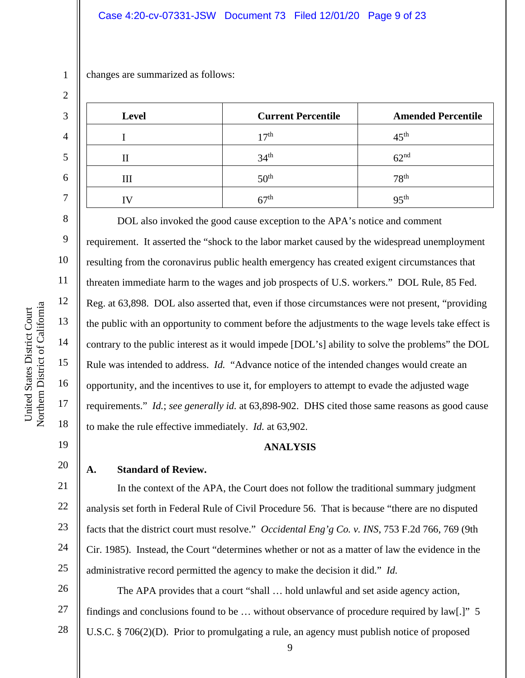### Case 4:20-cv-07331-JSW Document 73 Filed 12/01/20 Page 9 of 23

changes are summarized as follows:

| <b>Level</b> | <b>Current Percentile</b> | <b>Amended Percentile</b> |
|--------------|---------------------------|---------------------------|
|              | 17 <sup>th</sup>          | 45 <sup>th</sup>          |
|              | 34 <sup>th</sup>          | 62 <sup>nd</sup>          |
| Ш            | 50 <sup>th</sup>          | 78 <sup>th</sup>          |
|              | 67 <sup>th</sup>          | 95 <sup>th</sup>          |

DOL also invoked the good cause exception to the APA's notice and comment requirement. It asserted the "shock to the labor market caused by the widespread unemployment resulting from the coronavirus public health emergency has created exigent circumstances that threaten immediate harm to the wages and job prospects of U.S. workers." DOL Rule, 85 Fed. Reg. at 63,898. DOL also asserted that, even if those circumstances were not present, "providing the public with an opportunity to comment before the adjustments to the wage levels take effect is contrary to the public interest as it would impede [DOL's] ability to solve the problems" the DOL Rule was intended to address. *Id.* "Advance notice of the intended changes would create an opportunity, and the incentives to use it, for employers to attempt to evade the adjusted wage requirements." *Id.*; *see generally id.* at 63,898-902. DHS cited those same reasons as good cause to make the rule effective immediately. *Id.* at 63,902.

### **ANALYSIS**

### **A. Standard of Review.**

In the context of the APA, the Court does not follow the traditional summary judgment analysis set forth in Federal Rule of Civil Procedure 56. That is because "there are no disputed facts that the district court must resolve." *Occidental Eng'g Co. v. INS*, 753 F.2d 766, 769 (9th Cir. 1985). Instead, the Court "determines whether or not as a matter of law the evidence in the administrative record permitted the agency to make the decision it did." *Id.*

27 The APA provides that a court "shall … hold unlawful and set aside agency action, findings and conclusions found to be … without observance of procedure required by law[.]" 5 U.S.C. § 706(2)(D). Prior to promulgating a rule, an agency must publish notice of proposed

1

2

3

4

5

6

7

8

9

10

11

12

13

14

15

16

17

18

19

20

21

22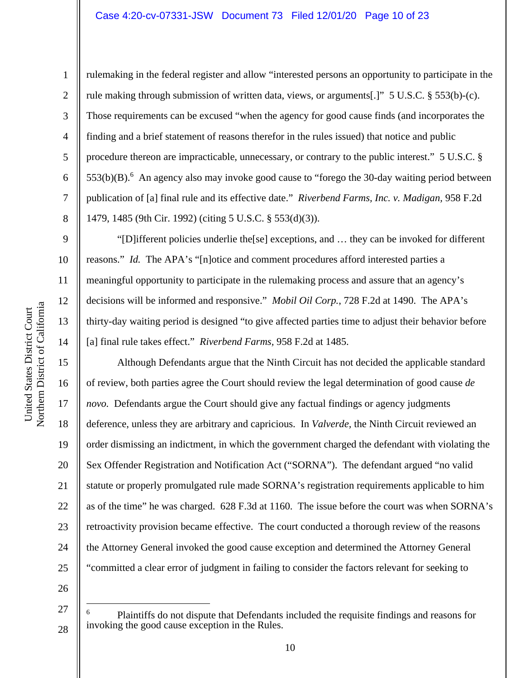#### Case 4:20-cv-07331-JSW Document 73 Filed 12/01/20 Page 10 of 23

1

2

3

4

5

6

7

8

9

10

11

12

13

14

15

16

17

18

19

20

21

22

23

24

25

rulemaking in the federal register and allow "interested persons an opportunity to participate in the rule making through submission of written data, views, or arguments[.]" 5 U.S.C. § 553(b)-(c). Those requirements can be excused "when the agency for good cause finds (and incorporates the finding and a brief statement of reasons therefor in the rules issued) that notice and public procedure thereon are impracticable, unnecessary, or contrary to the public interest." 5 U.S.C. §  $553(b)(B)$ .<sup>6</sup> An agency also may invoke good cause to "forego the 30-day waiting period between publication of [a] final rule and its effective date." *Riverbend Farms, Inc. v. Madigan,* 958 F.2d 1479, 1485 (9th Cir. 1992) (citing 5 U.S.C. § 553(d)(3)).

"[D]ifferent policies underlie the[se] exceptions, and … they can be invoked for different reasons." *Id.* The APA's "[n]otice and comment procedures afford interested parties a meaningful opportunity to participate in the rulemaking process and assure that an agency's decisions will be informed and responsive." *Mobil Oil Corp.*, 728 F.2d at 1490. The APA's thirty-day waiting period is designed "to give affected parties time to adjust their behavior before [a] final rule takes effect." *Riverbend Farms,* 958 F.2d at 1485.

Although Defendants argue that the Ninth Circuit has not decided the applicable standard of review, both parties agree the Court should review the legal determination of good cause *de novo.* Defendants argue the Court should give any factual findings or agency judgments deference, unless they are arbitrary and capricious. In *Valverde,* the Ninth Circuit reviewed an order dismissing an indictment, in which the government charged the defendant with violating the Sex Offender Registration and Notification Act ("SORNA"). The defendant argued "no valid statute or properly promulgated rule made SORNA's registration requirements applicable to him as of the time" he was charged. 628 F.3d at 1160. The issue before the court was when SORNA's retroactivity provision became effective. The court conducted a thorough review of the reasons the Attorney General invoked the good cause exception and determined the Attorney General "committed a clear error of judgment in failing to consider the factors relevant for seeking to

26

27

<sup>6</sup> Plaintiffs do not dispute that Defendants included the requisite findings and reasons for invoking the good cause exception in the Rules.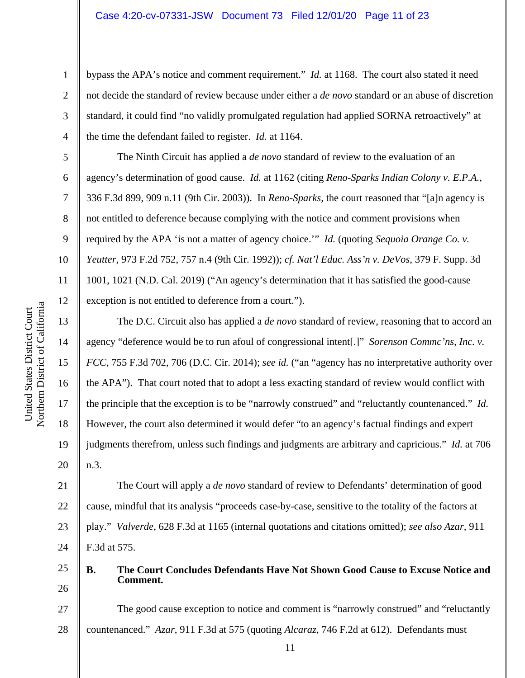bypass the APA's notice and comment requirement." *Id.* at 1168. The court also stated it need not decide the standard of review because under either a *de novo* standard or an abuse of discretion standard, it could find "no validly promulgated regulation had applied SORNA retroactively" at the time the defendant failed to register. *Id.* at 1164.

The Ninth Circuit has applied a *de novo* standard of review to the evaluation of an agency's determination of good cause. *Id.* at 1162 (citing *Reno-Sparks Indian Colony v. E.P.A.*, 336 F.3d 899, 909 n.11 (9th Cir. 2003)). In *Reno-Sparks,* the court reasoned that "[a]n agency is not entitled to deference because complying with the notice and comment provisions when required by the APA 'is not a matter of agency choice.'" *Id.* (quoting *Sequoia Orange Co. v. Yeutter*, 973 F.2d 752, 757 n.4 (9th Cir. 1992)); *cf. Nat'l Educ. Ass'n v. DeVos*, 379 F. Supp. 3d 1001, 1021 (N.D. Cal. 2019) ("An agency's determination that it has satisfied the good-cause exception is not entitled to deference from a court.").

The D.C. Circuit also has applied a *de novo* standard of review, reasoning that to accord an agency "deference would be to run afoul of congressional intent[.]" *Sorenson Commc'ns, Inc. v. FCC*, 755 F.3d 702, 706 (D.C. Cir. 2014); *see id.* ("an "agency has no interpretative authority over the APA"). That court noted that to adopt a less exacting standard of review would conflict with the principle that the exception is to be "narrowly construed" and "reluctantly countenanced." *Id.* However, the court also determined it would defer "to an agency's factual findings and expert judgments therefrom, unless such findings and judgments are arbitrary and capricious." *Id.* at 706 n.3.

21 22 23 24 The Court will apply a *de novo* standard of review to Defendants' determination of good cause, mindful that its analysis "proceeds case-by-case, sensitive to the totality of the factors at play." *Valverde*, 628 F.3d at 1165 (internal quotations and citations omitted); *see also Azar,* 911 F.3d at 575.

25 26

## **B. The Court Concludes Defendants Have Not Shown Good Cause to Excuse Notice and Comment.**

27 28 The good cause exception to notice and comment is "narrowly construed" and "reluctantly countenanced." *Azar*, 911 F.3d at 575 (quoting *Alcaraz*, 746 F.2d at 612). Defendants must

1

2

3

4

5

6

7

8

9

10

11

12

13

14

15

16

17

18

19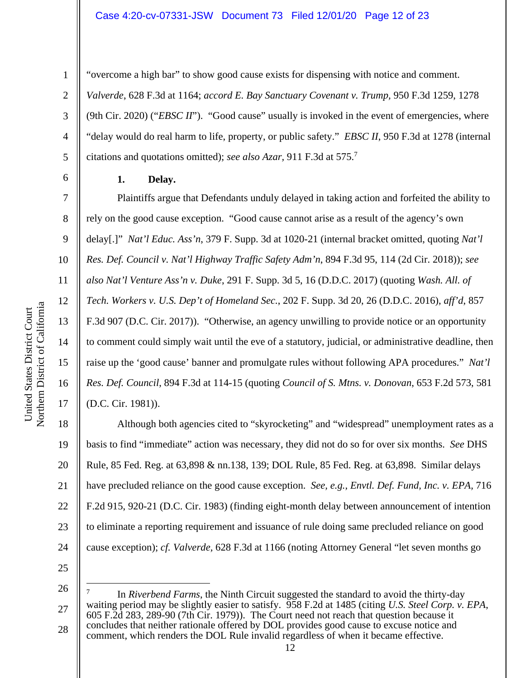### Case 4:20-cv-07331-JSW Document 73 Filed 12/01/20 Page 12 of 23

"overcome a high bar" to show good cause exists for dispensing with notice and comment.

citations and quotations omitted); *see also Azar,* 911 F.3d at 575.<sup>7</sup>

*Valverde*, 628 F.3d at 1164; *accord E. Bay Sanctuary Covenant v. Trump,* 950 F.3d 1259, 1278

(9th Cir. 2020) ("*EBSC II*"). "Good cause" usually is invoked in the event of emergencies, where

"delay would do real harm to life, property, or public safety." *EBSC II*, 950 F.3d at 1278 (internal

1

2

3

4

5

6

7

8

9

10

11

12

13

14

15

16

17

#### **1. Delay.**

Plaintiffs argue that Defendants unduly delayed in taking action and forfeited the ability to rely on the good cause exception. "Good cause cannot arise as a result of the agency's own delay[.]" *Nat'l Educ. Ass'n*, 379 F. Supp. 3d at 1020-21 (internal bracket omitted, quoting *Nat'l Res. Def. Council v. Nat'l Highway Traffic Safety Adm'n*, 894 F.3d 95, 114 (2d Cir. 2018)); *see also Nat'l Venture Ass'n v. Duke*, 291 F. Supp. 3d 5, 16 (D.D.C. 2017) (quoting *Wash. All. of Tech. Workers v. U.S. Dep't of Homeland Sec.*, 202 F. Supp. 3d 20, 26 (D.D.C. 2016), *aff'd*, 857 F.3d 907 (D.C. Cir. 2017)). "Otherwise, an agency unwilling to provide notice or an opportunity to comment could simply wait until the eve of a statutory, judicial, or administrative deadline, then raise up the 'good cause' banner and promulgate rules without following APA procedures." *Nat'l Res. Def. Council*, 894 F.3d at 114-15 (quoting *Council of S. Mtns. v. Donovan*, 653 F.2d 573, 581 (D.C. Cir. 1981)).

18 19 20 21 22 23 24 Although both agencies cited to "skyrocketing" and "widespread" unemployment rates as a basis to find "immediate" action was necessary, they did not do so for over six months. *See* DHS Rule, 85 Fed. Reg. at 63,898 & nn.138, 139; DOL Rule, 85 Fed. Reg. at 63,898. Similar delays have precluded reliance on the good cause exception. *See, e.g., Envtl. Def. Fund, Inc. v. EPA,* 716 F.2d 915, 920-21 (D.C. Cir. 1983) (finding eight-month delay between announcement of intention to eliminate a reporting requirement and issuance of rule doing same precluded reliance on good cause exception); *cf. Valverde,* 628 F.3d at 1166 (noting Attorney General "let seven months go

<sup>27</sup>  28 7 In *Riverbend Farms*, the Ninth Circuit suggested the standard to avoid the thirty-day waiting period may be slightly easier to satisfy.  $958$  F.2d at 1485 (citing *U.S. Steel Corp. v. EPA*, 605 F.2d 283, 289-90 (7th Cir. 1979)). The Court need not reach that question because it concludes that neither rationale offered by DOL provides good cause to excuse notice and comment, which renders the DOL Rule invalid regardless of when it became effective.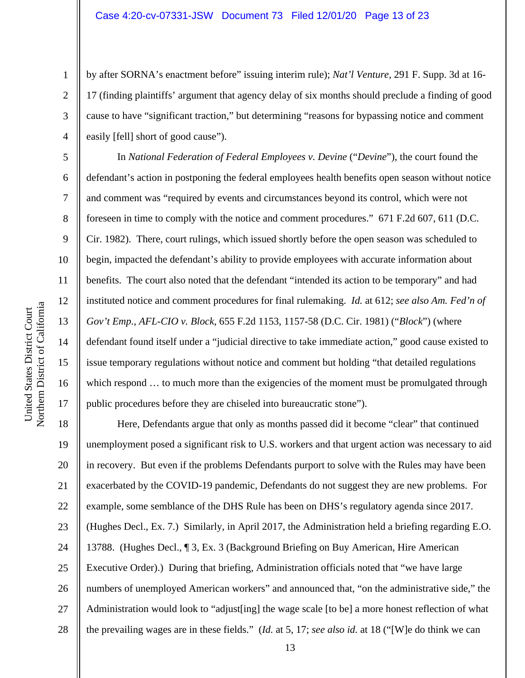by after SORNA's enactment before" issuing interim rule); *Nat'l Venture*, 291 F. Supp. 3d at 16- 17 (finding plaintiffs' argument that agency delay of six months should preclude a finding of good cause to have "significant traction," but determining "reasons for bypassing notice and comment easily [fell] short of good cause").

In *National Federation of Federal Employees v. Devine ("Devine")*, the court found the defendant's action in postponing the federal employees health benefits open season without notice and comment was "required by events and circumstances beyond its control, which were not foreseen in time to comply with the notice and comment procedures." 671 F.2d 607, 611 (D.C. Cir. 1982). There, court rulings, which issued shortly before the open season was scheduled to begin, impacted the defendant's ability to provide employees with accurate information about benefits. The court also noted that the defendant "intended its action to be temporary" and had instituted notice and comment procedures for final rulemaking. *Id.* at 612; *see also Am. Fed'n of Gov't Emp., AFL-CIO v. Block*, 655 F.2d 1153, 1157-58 (D.C. Cir. 1981) ("*Block*") (where defendant found itself under a "judicial directive to take immediate action," good cause existed to issue temporary regulations without notice and comment but holding "that detailed regulations which respond  $\dots$  to much more than the exigencies of the moment must be promulgated through public procedures before they are chiseled into bureaucratic stone").

18 19 20 21 22 23 24 25 26 27 28 Here, Defendants argue that only as months passed did it become "clear" that continued unemployment posed a significant risk to U.S. workers and that urgent action was necessary to aid in recovery. But even if the problems Defendants purport to solve with the Rules may have been exacerbated by the COVID-19 pandemic, Defendants do not suggest they are new problems. For example, some semblance of the DHS Rule has been on DHS's regulatory agenda since 2017. (Hughes Decl., Ex. 7.) Similarly, in April 2017, the Administration held a briefing regarding E.O. 13788. (Hughes Decl., ¶ 3, Ex. 3 (Background Briefing on Buy American, Hire American Executive Order).) During that briefing, Administration officials noted that "we have large numbers of unemployed American workers" and announced that, "on the administrative side," the Administration would look to "adjust[ing] the wage scale [to be] a more honest reflection of what the prevailing wages are in these fields." (*Id.* at 5, 17; *see also id.* at 18 ("[W]e do think we can

1

2

3

4

5

6

7

8

9

10

11

12

13

14

15

16

17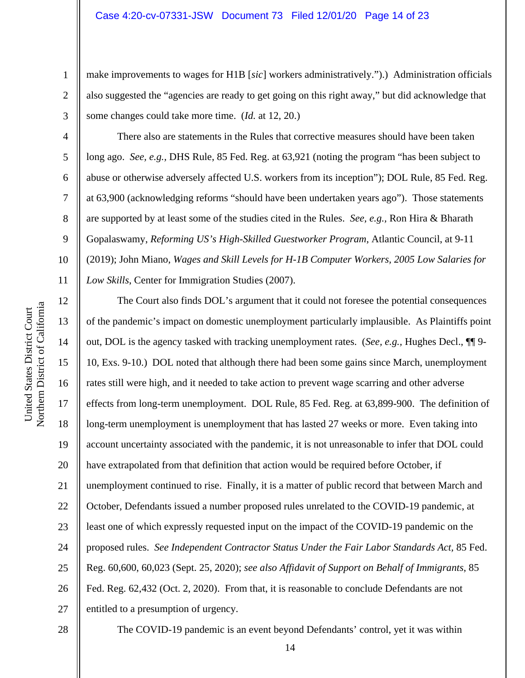make improvements to wages for H1B [*sic*] workers administratively.").) Administration officials also suggested the "agencies are ready to get going on this right away," but did acknowledge that some changes could take more time. (*Id.* at 12, 20.)

There also are statements in the Rules that corrective measures should have been taken long ago. *See, e.g.,* DHS Rule, 85 Fed. Reg. at 63,921 (noting the program "has been subject to abuse or otherwise adversely affected U.S. workers from its inception"); DOL Rule, 85 Fed. Reg. at 63,900 (acknowledging reforms "should have been undertaken years ago"). Those statements are supported by at least some of the studies cited in the Rules. *See, e.g.,* Ron Hira & Bharath Gopalaswamy, *Reforming US's High-Skilled Guestworker Program*, Atlantic Council, at 9-11 (2019); John Miano, *Wages and Skill Levels for H-1B Computer Workers, 2005 Low Salaries for Low Skills*, Center for Immigration Studies (2007).

12 13 14 15 16 17 18 19 20 21 22 23 24 25 26 27 The Court also finds DOL's argument that it could not foresee the potential consequences of the pandemic's impact on domestic unemployment particularly implausible. As Plaintiffs point out, DOL is the agency tasked with tracking unemployment rates. (*See, e.g.,* Hughes Decl., ¶¶ 9- 10, Exs. 9-10.) DOL noted that although there had been some gains since March, unemployment rates still were high, and it needed to take action to prevent wage scarring and other adverse effects from long-term unemployment. DOL Rule, 85 Fed. Reg. at 63,899-900. The definition of long-term unemployment is unemployment that has lasted 27 weeks or more. Even taking into account uncertainty associated with the pandemic, it is not unreasonable to infer that DOL could have extrapolated from that definition that action would be required before October, if unemployment continued to rise. Finally, it is a matter of public record that between March and October, Defendants issued a number proposed rules unrelated to the COVID-19 pandemic, at least one of which expressly requested input on the impact of the COVID-19 pandemic on the proposed rules. *See Independent Contractor Status Under the Fair Labor Standards Act,* 85 Fed. Reg. 60,600, 60,023 (Sept. 25, 2020); *see also Affidavit of Support on Behalf of Immigrants*, 85 Fed. Reg. 62,432 (Oct. 2, 2020). From that, it is reasonable to conclude Defendants are not entitled to a presumption of urgency.

28

a United States District Court United States District Court Northern District of Californi

1

2

3

4

5

6

7

8

9

10

11

The COVID-19 pandemic is an event beyond Defendants' control, yet it was within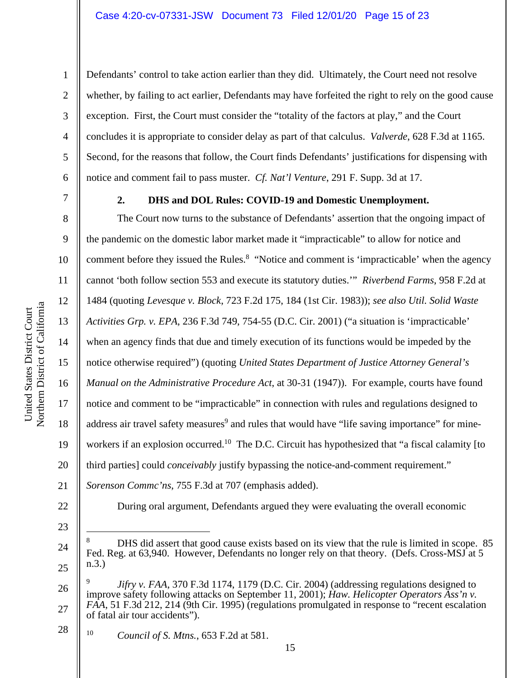Defendants' control to take action earlier than they did. Ultimately, the Court need not resolve whether, by failing to act earlier, Defendants may have forfeited the right to rely on the good cause exception. First, the Court must consider the "totality of the factors at play," and the Court concludes it is appropriate to consider delay as part of that calculus. *Valverde*, 628 F.3d at 1165. Second, for the reasons that follow, the Court finds Defendants' justifications for dispensing with notice and comment fail to pass muster. *Cf. Nat'l Venture*, 291 F. Supp. 3d at 17.

1

2

3

4

5

6

7

8

9

10

11

12

13

14

15

16

17

18

19

20

21

22

### **2. DHS and DOL Rules: COVID-19 and Domestic Unemployment.**

The Court now turns to the substance of Defendants' assertion that the ongoing impact of the pandemic on the domestic labor market made it "impracticable" to allow for notice and comment before they issued the Rules.<sup>8</sup> "Notice and comment is 'impracticable' when the agency cannot 'both follow section 553 and execute its statutory duties.'" *Riverbend Farms*, 958 F.2d at 1484 (quoting *Levesque v. Block*, 723 F.2d 175, 184 (1st Cir. 1983)); *see also Util. Solid Waste Activities Grp. v. EPA*, 236 F.3d 749, 754-55 (D.C. Cir. 2001) ("a situation is 'impracticable' when an agency finds that due and timely execution of its functions would be impeded by the notice otherwise required") (quoting *United States Department of Justice Attorney General's Manual on the Administrative Procedure Act*, at 30-31 (1947)). For example, courts have found notice and comment to be "impracticable" in connection with rules and regulations designed to address air travel safety measures<sup>9</sup> and rules that would have "life saving importance" for mineworkers if an explosion occurred.<sup>10</sup> The D.C. Circuit has hypothesized that "a fiscal calamity [to third parties] could *conceivably* justify bypassing the notice-and-comment requirement." *Sorenson Commc'ns*, 755 F.3d at 707 (emphasis added).

During oral argument, Defendants argued they were evaluating the overall economic

- 23
- 24

<sup>8</sup> DHS did assert that good cause exists based on its view that the rule is limited in scope. 85 Fed. Reg. at 63,940. However, Defendants no longer rely on that theory. (Defs. Cross-MSJ at 5 n.3.)

<sup>26</sup>  27 9 *Jifry v. FAA*, 370 F.3d 1174, 1179 (D.C. Cir. 2004) (addressing regulations designed to improve safety following attacks on September 11, 2001); *Haw. Helicopter Operators Ass'n v. FAA*, 51 F.3d 212, 214 (9th Cir. 1995) (regulations promulgated in response to "recent escalation of fatal air tour accidents").

<sup>28</sup>  10 10 *Council of S. Mtns.*, 653 F.2d at 581.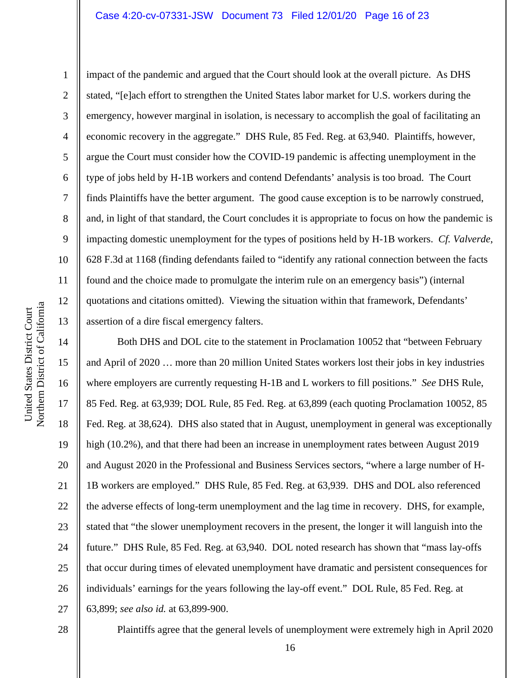### Case 4:20-cv-07331-JSW Document 73 Filed 12/01/20 Page 16 of 23

impact of the pandemic and argued that the Court should look at the overall picture. As DHS stated, "[e]ach effort to strengthen the United States labor market for U.S. workers during the emergency, however marginal in isolation, is necessary to accomplish the goal of facilitating an economic recovery in the aggregate." DHS Rule, 85 Fed. Reg. at 63,940. Plaintiffs, however, argue the Court must consider how the COVID-19 pandemic is affecting unemployment in the type of jobs held by H-1B workers and contend Defendants' analysis is too broad. The Court finds Plaintiffs have the better argument. The good cause exception is to be narrowly construed, and, in light of that standard, the Court concludes it is appropriate to focus on how the pandemic is impacting domestic unemployment for the types of positions held by H-1B workers. *Cf. Valverde*, 628 F.3d at 1168 (finding defendants failed to "identify any rational connection between the facts found and the choice made to promulgate the interim rule on an emergency basis") (internal quotations and citations omitted). Viewing the situation within that framework, Defendants' assertion of a dire fiscal emergency falters.

14 15 16 17 18 19 20 21 22 23 24 25 26 27 Both DHS and DOL cite to the statement in Proclamation 10052 that "between February and April of 2020 … more than 20 million United States workers lost their jobs in key industries where employers are currently requesting H-1B and L workers to fill positions." *See* DHS Rule, 85 Fed. Reg. at 63,939; DOL Rule, 85 Fed. Reg. at 63,899 (each quoting Proclamation 10052, 85 Fed. Reg. at 38,624). DHS also stated that in August, unemployment in general was exceptionally high (10.2%), and that there had been an increase in unemployment rates between August 2019 and August 2020 in the Professional and Business Services sectors, "where a large number of H-1B workers are employed." DHS Rule, 85 Fed. Reg. at 63,939. DHS and DOL also referenced the adverse effects of long-term unemployment and the lag time in recovery. DHS, for example, stated that "the slower unemployment recovers in the present, the longer it will languish into the future." DHS Rule, 85 Fed. Reg. at 63,940. DOL noted research has shown that "mass lay-offs that occur during times of elevated unemployment have dramatic and persistent consequences for individuals' earnings for the years following the lay-off event." DOL Rule, 85 Fed. Reg. at 63,899; *see also id.* at 63,899-900.

28

Plaintiffs agree that the general levels of unemployment were extremely high in April 2020

1

2

3

4

5

6

7

8

9

10

11

12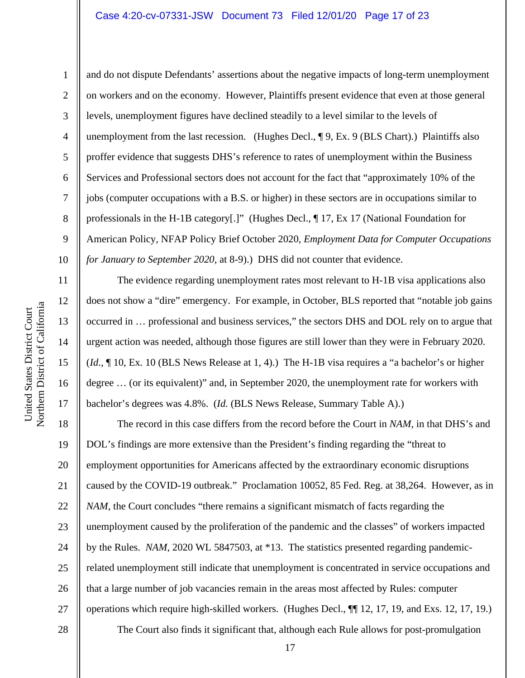### Case 4:20-cv-07331-JSW Document 73 Filed 12/01/20 Page 17 of 23

1

2

3

4

5

7

8

9

11

12

13

14

15

16

17

6 10 and do not dispute Defendants' assertions about the negative impacts of long-term unemployment on workers and on the economy. However, Plaintiffs present evidence that even at those general levels, unemployment figures have declined steadily to a level similar to the levels of unemployment from the last recession. (Hughes Decl.,  $\P$  9, Ex. 9 (BLS Chart).) Plaintiffs also proffer evidence that suggests DHS's reference to rates of unemployment within the Business Services and Professional sectors does not account for the fact that "approximately 10% of the jobs (computer occupations with a B.S. or higher) in these sectors are in occupations similar to professionals in the H-1B category[.]" (Hughes Decl., ¶ 17, Ex 17 (National Foundation for American Policy, NFAP Policy Brief October 2020, *Employment Data for Computer Occupations for January to September 2020*, at 8-9).) DHS did not counter that evidence.

The evidence regarding unemployment rates most relevant to H-1B visa applications also does not show a "dire" emergency. For example, in October, BLS reported that "notable job gains occurred in … professional and business services," the sectors DHS and DOL rely on to argue that urgent action was needed, although those figures are still lower than they were in February 2020. (*Id.*, ¶ 10, Ex. 10 (BLS News Release at 1, 4).) The H-1B visa requires a "a bachelor's or higher degree … (or its equivalent)" and, in September 2020, the unemployment rate for workers with bachelor's degrees was 4.8%. (*Id.* (BLS News Release, Summary Table A).)

18 19 20 21 22 23 24 25 26 27 28 The record in this case differs from the record before the Court in *NAM*, in that DHS's and DOL's findings are more extensive than the President's finding regarding the "threat to employment opportunities for Americans affected by the extraordinary economic disruptions caused by the COVID-19 outbreak." Proclamation 10052, 85 Fed. Reg. at 38,264. However, as in *NAM*, the Court concludes "there remains a significant mismatch of facts regarding the unemployment caused by the proliferation of the pandemic and the classes" of workers impacted by the Rules. *NAM*, 2020 WL 5847503, at \*13. The statistics presented regarding pandemicrelated unemployment still indicate that unemployment is concentrated in service occupations and that a large number of job vacancies remain in the areas most affected by Rules: computer operations which require high-skilled workers. (Hughes Decl., ¶¶ 12, 17, 19, and Exs. 12, 17, 19.) The Court also finds it significant that, although each Rule allows for post-promulgation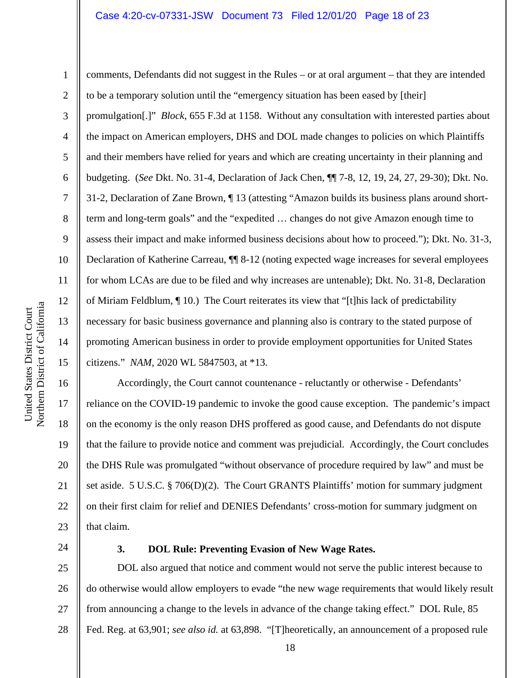#### Case 4:20-cv-07331-JSW Document 73 Filed 12/01/20 Page 18 of 23

1

2

3

4

5

6

7

8

9

comments, Defendants did not suggest in the Rules – or at oral argument – that they are intended to be a temporary solution until the "emergency situation has been eased by [their] promulgation[.]" *Block*, 655 F.3d at 1158. Without any consultation with interested parties about the impact on American employers, DHS and DOL made changes to policies on which Plaintiffs and their members have relied for years and which are creating uncertainty in their planning and budgeting. (*See* Dkt. No. 31-4, Declaration of Jack Chen, ¶¶ 7-8, 12, 19, 24, 27, 29-30); Dkt. No. 31-2, Declaration of Zane Brown, ¶ 13 (attesting "Amazon builds its business plans around shortterm and long-term goals" and the "expedited … changes do not give Amazon enough time to assess their impact and make informed business decisions about how to proceed."); Dkt. No. 31-3, Declaration of Katherine Carreau, ¶¶ 8-12 (noting expected wage increases for several employees for whom LCAs are due to be filed and why increases are untenable); Dkt. No. 31-8, Declaration of Miriam Feldblum, ¶ 10.) The Court reiterates its view that "[t]his lack of predictability necessary for basic business governance and planning also is contrary to the stated purpose of promoting American business in order to provide employment opportunities for United States citizens." *NAM*, 2020 WL 5847503, at \*13.

18 19 20 21 22 23 Accordingly, the Court cannot countenance - reluctantly or otherwise - Defendants' reliance on the COVID-19 pandemic to invoke the good cause exception. The pandemic's impact on the economy is the only reason DHS proffered as good cause, and Defendants do not dispute that the failure to provide notice and comment was prejudicial. Accordingly, the Court concludes the DHS Rule was promulgated "without observance of procedure required by law" and must be set aside. 5 U.S.C. § 706(D)(2). The Court GRANTS Plaintiffs' motion for summary judgment on their first claim for relief and DENIES Defendants' cross-motion for summary judgment on that claim.

24

### **3. DOL Rule: Preventing Evasion of New Wage Rates.**

25 26 27 28 DOL also argued that notice and comment would not serve the public interest because to do otherwise would allow employers to evade "the new wage requirements that would likely result from announcing a change to the levels in advance of the change taking effect." DOL Rule, 85 Fed. Reg. at 63,901; *see also id.* at 63,898. "[T]heoretically, an announcement of a proposed rule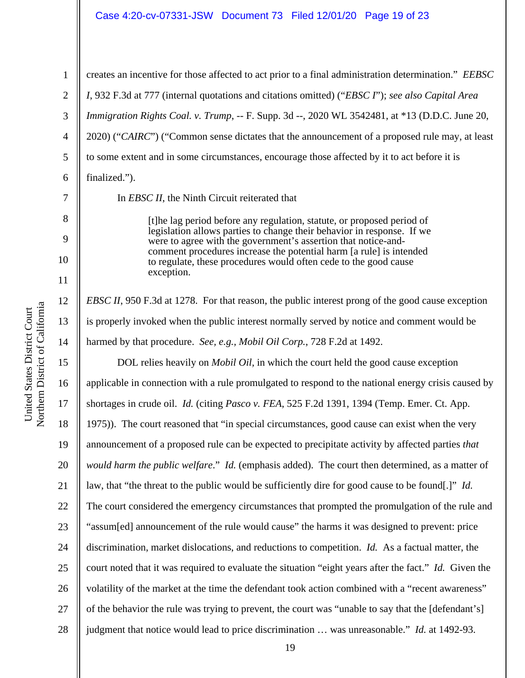#### Case 4:20-cv-07331-JSW Document 73 Filed 12/01/20 Page 19 of 23

7

8

9

10

11

12

13

14

1 2 3 4 5 6 creates an incentive for those affected to act prior to a final administration determination." *EEBSC I*, 932 F.3d at 777 (internal quotations and citations omitted) ("*EBSC I*"); *see also Capital Area Immigration Rights Coal. v. Trump*, -- F. Supp. 3d --, 2020 WL 3542481, at \*13 (D.D.C. June 20, 2020) ("*CAIRC*") ("Common sense dictates that the announcement of a proposed rule may, at least to some extent and in some circumstances, encourage those affected by it to act before it is finalized.").

In *EBSC II*, the Ninth Circuit reiterated that

[t]he lag period before any regulation, statute, or proposed period of legislation allows parties to change their behavior in response. If we were to agree with the government's assertion that notice-andcomment procedures increase the potential harm [a rule] is intended to regulate, these procedures would often cede to the good cause exception.

*EBSC II*, 950 F.3d at 1278. For that reason, the public interest prong of the good cause exception is properly invoked when the public interest normally served by notice and comment would be harmed by that procedure. *See, e.g., Mobil Oil Corp.*, 728 F.2d at 1492.

15 16 17 18 19 20 21 22 23 24 25 26 27 28 DOL relies heavily on *Mobil Oil,* in which the court held the good cause exception applicable in connection with a rule promulgated to respond to the national energy crisis caused by shortages in crude oil. *Id.* (citing *Pasco v. FEA*, 525 F.2d 1391, 1394 (Temp. Emer. Ct. App. 1975)). The court reasoned that "in special circumstances, good cause can exist when the very announcement of a proposed rule can be expected to precipitate activity by affected parties *that would harm the public welfare*." *Id.* (emphasis added). The court then determined, as a matter of law, that "the threat to the public would be sufficiently dire for good cause to be found[.]" *Id.* The court considered the emergency circumstances that prompted the promulgation of the rule and "assum[ed] announcement of the rule would cause" the harms it was designed to prevent: price discrimination, market dislocations, and reductions to competition. *Id.* As a factual matter, the court noted that it was required to evaluate the situation "eight years after the fact." *Id.* Given the volatility of the market at the time the defendant took action combined with a "recent awareness" of the behavior the rule was trying to prevent, the court was "unable to say that the [defendant's] judgment that notice would lead to price discrimination … was unreasonable." *Id.* at 1492-93.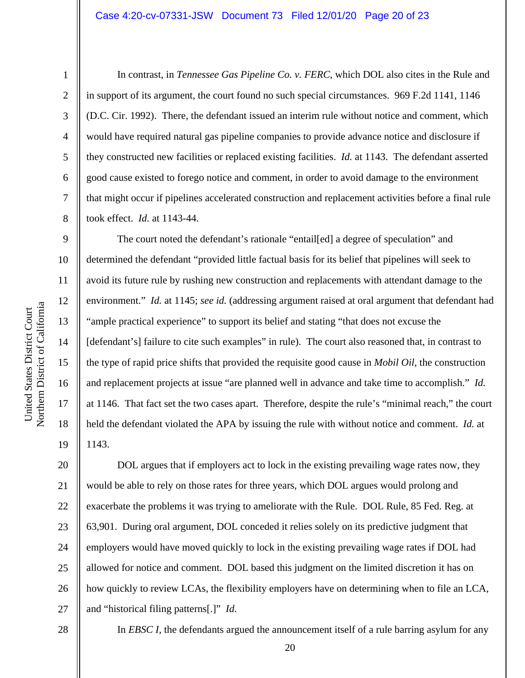#### Case 4:20-cv-07331-JSW Document 73 Filed 12/01/20 Page 20 of 23

8

9

10

11

12

13

14

15

16

17

18

19

In contrast, in *Tennessee Gas Pipeline Co. v. FERC*, which DOL also cites in the Rule and in support of its argument, the court found no such special circumstances. 969 F.2d 1141, 1146 (D.C. Cir. 1992). There, the defendant issued an interim rule without notice and comment, which would have required natural gas pipeline companies to provide advance notice and disclosure if they constructed new facilities or replaced existing facilities. *Id.* at 1143. The defendant asserted good cause existed to forego notice and comment, in order to avoid damage to the environment that might occur if pipelines accelerated construction and replacement activities before a final rule took effect. *Id.* at 1143-44.

The court noted the defendant's rationale "entail[ed] a degree of speculation" and determined the defendant "provided little factual basis for its belief that pipelines will seek to avoid its future rule by rushing new construction and replacements with attendant damage to the environment." *Id.* at 1145; *see id.* (addressing argument raised at oral argument that defendant had "ample practical experience" to support its belief and stating "that does not excuse the [defendant's] failure to cite such examples" in rule). The court also reasoned that, in contrast to the type of rapid price shifts that provided the requisite good cause in *Mobil Oil,* the construction and replacement projects at issue "are planned well in advance and take time to accomplish." *Id.* at 1146. That fact set the two cases apart. Therefore, despite the rule's "minimal reach," the court held the defendant violated the APA by issuing the rule with without notice and comment. *Id.* at 1143.

20 21 22 23 24 25 26 27 DOL argues that if employers act to lock in the existing prevailing wage rates now, they would be able to rely on those rates for three years, which DOL argues would prolong and exacerbate the problems it was trying to ameliorate with the Rule. DOL Rule, 85 Fed. Reg. at 63,901. During oral argument, DOL conceded it relies solely on its predictive judgment that employers would have moved quickly to lock in the existing prevailing wage rates if DOL had allowed for notice and comment. DOL based this judgment on the limited discretion it has on how quickly to review LCAs, the flexibility employers have on determining when to file an LCA, and "historical filing patterns[.]" *Id*.

28

In *EBSC I*, the defendants argued the announcement itself of a rule barring asylum for any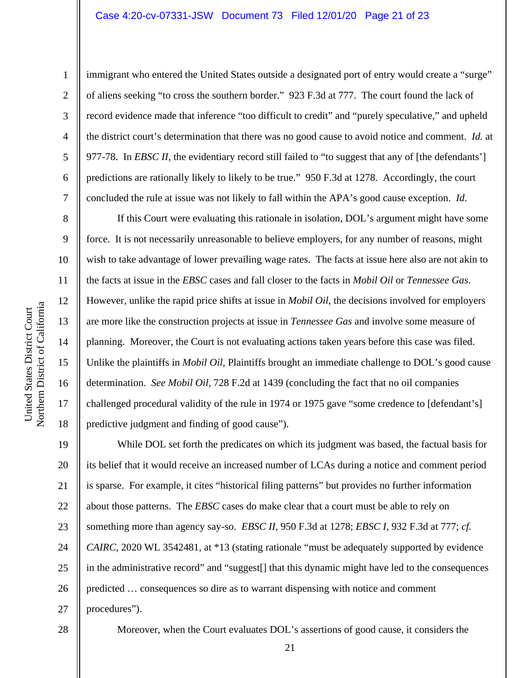### Case 4:20-cv-07331-JSW Document 73 Filed 12/01/20 Page 21 of 23

1

2

3

4

5

6

7

8

9

10

11

12

13

14

15

16

17

18

immigrant who entered the United States outside a designated port of entry would create a "surge" of aliens seeking "to cross the southern border." 923 F.3d at 777. The court found the lack of record evidence made that inference "too difficult to credit" and "purely speculative," and upheld the district court's determination that there was no good cause to avoid notice and comment. *Id.* at 977-78. In *EBSC II*, the evidentiary record still failed to "to suggest that any of [the defendants'] predictions are rationally likely to likely to be true." 950 F.3d at 1278. Accordingly, the court concluded the rule at issue was not likely to fall within the APA's good cause exception. *Id*.

If this Court were evaluating this rationale in isolation, DOL's argument might have some force. It is not necessarily unreasonable to believe employers, for any number of reasons, might wish to take advantage of lower prevailing wage rates. The facts at issue here also are not akin to the facts at issue in the *EBSC* cases and fall closer to the facts in *Mobil Oil* or *Tennessee Gas*. However, unlike the rapid price shifts at issue in *Mobil Oil*, the decisions involved for employers are more like the construction projects at issue in *Tennessee Gas* and involve some measure of planning. Moreover, the Court is not evaluating actions taken years before this case was filed. Unlike the plaintiffs in *Mobil Oil*, Plaintiffs brought an immediate challenge to DOL's good cause determination. *See Mobil Oil*, 728 F.2d at 1439 (concluding the fact that no oil companies challenged procedural validity of the rule in 1974 or 1975 gave "some credence to [defendant's] predictive judgment and finding of good cause").

19 20 21 22 23 24 25 26 27 While DOL set forth the predicates on which its judgment was based, the factual basis for its belief that it would receive an increased number of LCAs during a notice and comment period is sparse. For example, it cites "historical filing patterns" but provides no further information about those patterns. The *EBSC* cases do make clear that a court must be able to rely on something more than agency say-so. *EBSC II,* 950 F.3d at 1278; *EBSC I,* 932 F.3d at 777; *cf. CAIRC*, 2020 WL 3542481, at \*13 (stating rationale "must be adequately supported by evidence in the administrative record" and "suggest[] that this dynamic might have led to the consequences predicted … consequences so dire as to warrant dispensing with notice and comment procedures").

28

Moreover, when the Court evaluates DOL's assertions of good cause, it considers the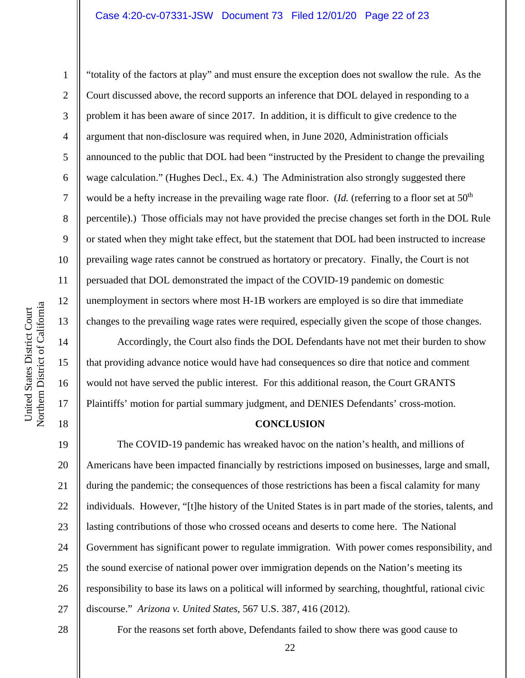### Case 4:20-cv-07331-JSW Document 73 Filed 12/01/20 Page 22 of 23

United States District Court

United States District Court

1

2

3

4

5

6

7

8

9

18

"totality of the factors at play" and must ensure the exception does not swallow the rule. As the Court discussed above, the record supports an inference that DOL delayed in responding to a problem it has been aware of since 2017. In addition, it is difficult to give credence to the argument that non-disclosure was required when, in June 2020, Administration officials announced to the public that DOL had been "instructed by the President to change the prevailing wage calculation." (Hughes Decl., Ex. 4.) The Administration also strongly suggested there would be a hefty increase in the prevailing wage rate floor. (*Id.* (referring to a floor set at 50<sup>th</sup>) percentile).) Those officials may not have provided the precise changes set forth in the DOL Rule or stated when they might take effect, but the statement that DOL had been instructed to increase prevailing wage rates cannot be construed as hortatory or precatory. Finally, the Court is not persuaded that DOL demonstrated the impact of the COVID-19 pandemic on domestic unemployment in sectors where most H-1B workers are employed is so dire that immediate changes to the prevailing wage rates were required, especially given the scope of those changes.

Accordingly, the Court also finds the DOL Defendants have not met their burden to show that providing advance notice would have had consequences so dire that notice and comment would not have served the public interest. For this additional reason, the Court GRANTS Plaintiffs' motion for partial summary judgment, and DENIES Defendants' cross-motion.

### **CONCLUSION**

19 20 21 22 23 24 25 26 27 The COVID-19 pandemic has wreaked havoc on the nation's health, and millions of Americans have been impacted financially by restrictions imposed on businesses, large and small, during the pandemic; the consequences of those restrictions has been a fiscal calamity for many individuals. However, "[t]he history of the United States is in part made of the stories, talents, and lasting contributions of those who crossed oceans and deserts to come here. The National Government has significant power to regulate immigration. With power comes responsibility, and the sound exercise of national power over immigration depends on the Nation's meeting its responsibility to base its laws on a political will informed by searching, thoughtful, rational civic discourse." *Arizona v. United States*, 567 U.S. 387, 416 (2012).

28

For the reasons set forth above, Defendants failed to show there was good cause to